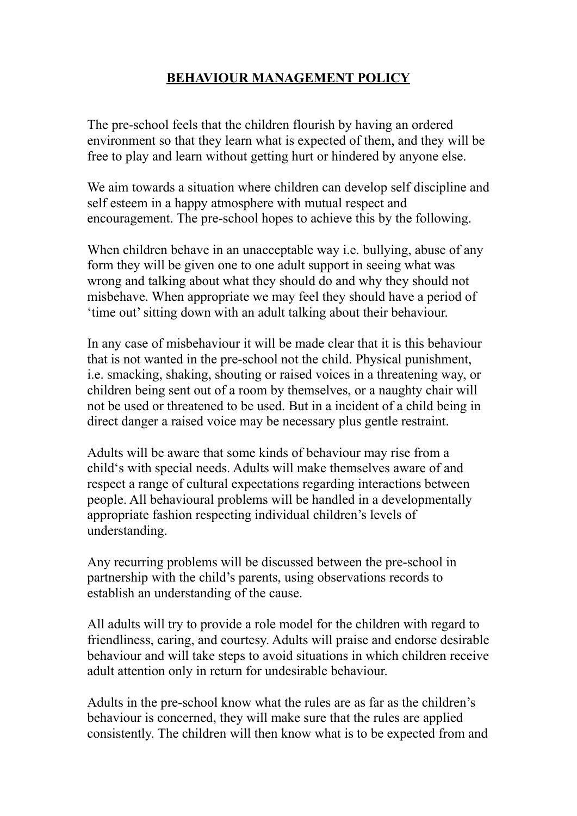## **BEHAVIOUR MANAGEMENT POLICY**

The pre-school feels that the children flourish by having an ordered environment so that they learn what is expected of them, and they will be free to play and learn without getting hurt or hindered by anyone else.

We aim towards a situation where children can develop self discipline and self esteem in a happy atmosphere with mutual respect and encouragement. The pre-school hopes to achieve this by the following.

When children behave in an unacceptable way i.e. bullying, abuse of any form they will be given one to one adult support in seeing what was wrong and talking about what they should do and why they should not misbehave. When appropriate we may feel they should have a period of 'time out' sitting down with an adult talking about their behaviour.

In any case of misbehaviour it will be made clear that it is this behaviour that is not wanted in the pre-school not the child. Physical punishment, i.e. smacking, shaking, shouting or raised voices in a threatening way, or children being sent out of a room by themselves, or a naughty chair will not be used or threatened to be used. But in a incident of a child being in direct danger a raised voice may be necessary plus gentle restraint.

Adults will be aware that some kinds of behaviour may rise from a child's with special needs. Adults will make themselves aware of and respect a range of cultural expectations regarding interactions between people. All behavioural problems will be handled in a developmentally appropriate fashion respecting individual children's levels of understanding.

Any recurring problems will be discussed between the pre-school in partnership with the child's parents, using observations records to establish an understanding of the cause.

All adults will try to provide a role model for the children with regard to friendliness, caring, and courtesy. Adults will praise and endorse desirable behaviour and will take steps to avoid situations in which children receive adult attention only in return for undesirable behaviour.

Adults in the pre-school know what the rules are as far as the children's behaviour is concerned, they will make sure that the rules are applied consistently. The children will then know what is to be expected from and